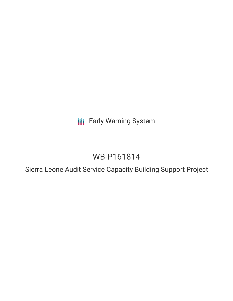**III** Early Warning System

# WB-P161814

Sierra Leone Audit Service Capacity Building Support Project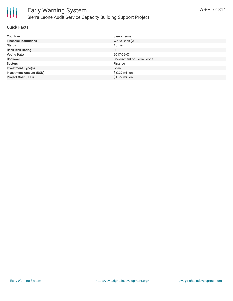

#### **Quick Facts**

| <b>Countries</b>               | Sierra Leone               |
|--------------------------------|----------------------------|
| <b>Financial Institutions</b>  | World Bank (WB)            |
| <b>Status</b>                  | Active                     |
| <b>Bank Risk Rating</b>        | C                          |
| <b>Voting Date</b>             | 2017-02-03                 |
| <b>Borrower</b>                | Government of Sierra Leone |
| <b>Sectors</b>                 | Finance                    |
| <b>Investment Type(s)</b>      | Loan                       |
| <b>Investment Amount (USD)</b> | $$0.27$ million            |
| <b>Project Cost (USD)</b>      | $$0.27$ million            |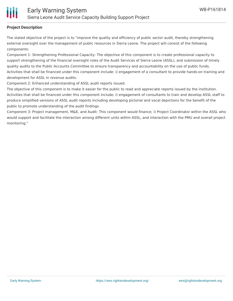#### **Project Description**

The stated objective of the project is to "improve the quality and efficiency of public sector audit, thereby strengthening external oversight over the management of public resources in Sierra Leone. The project will consist of the following components:

Component 1- Strengthening Professional Capacity: The objective of this component is to create professional capacity to support strengthening of the financial oversight roles of the Audit Services of Sierra Leone (ASSL), and submission of timely quality audits to the Public Accounts Committee to ensure transparency and accountability on the use of public funds. Activities that shall be financed under this component include: i) engagement of a consultant to provide hands-on training and development for ASSL in revenue audits.

Component 2: Enhanced understanding of ASSL audit reports issued.

The objective of this component is to make it easier for the public to read and appreciate reports issued by the institution. Activities that shall be financed under this component include; i) engagement of consultants to train and develop ASSL staff to produce simplified versions of ASSL audit reports including developing pictorial and vocal depictions for the benefit of the public to promote understanding of the audit findings.

Component 3: Project management, M&E, and Audit: This component would finance; i) Project Coordinator within the ASSL who would support and facilitate the interaction among different units within ASSL, and interaction with the PMU and overall project monitoring."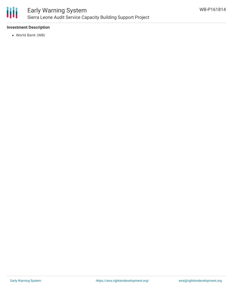

#### **Investment Description**

World Bank (WB)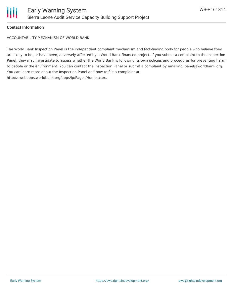

### **Contact Information**

ACCOUNTABILITY MECHANISM OF WORLD BANK

The World Bank Inspection Panel is the independent complaint mechanism and fact-finding body for people who believe they are likely to be, or have been, adversely affected by a World Bank-financed project. If you submit a complaint to the Inspection Panel, they may investigate to assess whether the World Bank is following its own policies and procedures for preventing harm to people or the environment. You can contact the Inspection Panel or submit a complaint by emailing ipanel@worldbank.org. You can learn more about the Inspection Panel and how to file a complaint at: http://ewebapps.worldbank.org/apps/ip/Pages/Home.aspx.